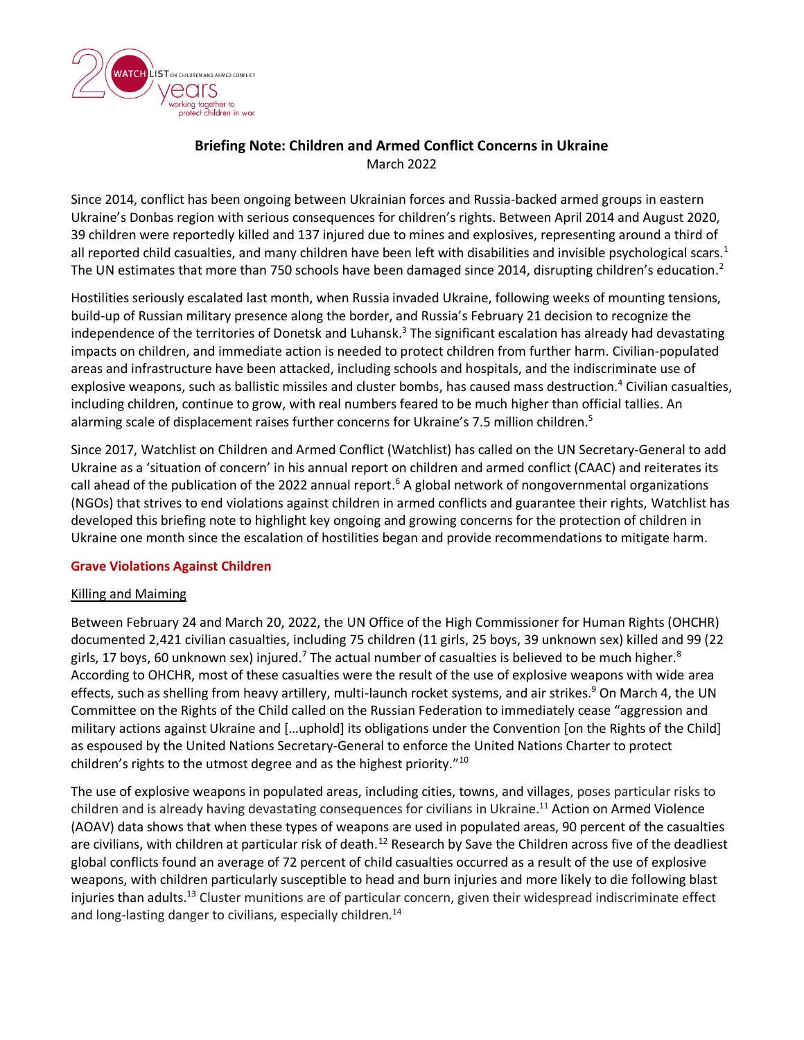

# **Briefing Note: Children and Armed Conflict Concerns in Ukraine** March 2022

Since 2014, conflict has been ongoing between Ukrainian forces and Russia-backed armed groups in eastern Ukraine's Donbas region with serious consequences for children's rights. Between April 2014 and August 2020, 39 children were reportedly killed and 137 injured due to mines and explosives, representing around a third of all reported child casualties, and many children have been left with disabilities and invisible psychological scars. $1$ The UN estimates that more than 750 schools have been damaged since 2014, disrupting children's education.<sup>2</sup>

Hostilities seriously escalated last month, when Russia invaded Ukraine, following weeks of mounting tensions, build-up of Russian military presence along the border, and Russia's February 21 decision to recognize the independence of the territories of Donetsk and Luhansk.<sup>3</sup> The significant escalation has already had devastating impacts on children, and immediate action is needed to protect children from further harm. Civilian-populated areas and infrastructure have been attacked, including schools and hospitals, and the indiscriminate use of explosive weapons, such as ballistic missiles and cluster bombs, has caused mass destruction.<sup>4</sup> Civilian casualties, including children, continue to grow, with real numbers feared to be much higher than official tallies. An alarming scale of displacement raises further concerns for Ukraine's 7.5 million children.<sup>5</sup>

Since 2017, Watchlist on Children and Armed Conflict (Watchlist) has called on the UN Secretary-General to add Ukraine as a 'situation of concern' in his annual report on children and armed conflict (CAAC) and reiterates its call ahead of the publication of the 2022 annual report.<sup>6</sup> A global network of nongovernmental organizations (NGOs) that strives to end violations against children in armed conflicts and guarantee their rights, Watchlist has developed this briefing note to highlight key ongoing and growing concerns for the protection of children in Ukraine one month since the escalation of hostilities began and provide recommendations to mitigate harm.

### **Grave Violations Against Children**

### Killing and Maiming

Between February 24 and March 20, 2022, the UN Office of the High Commissioner for Human Rights (OHCHR) documented 2,421 civilian casualties, including 75 children (11 girls, 25 boys, 39 unknown sex) killed and 99 (22 girls, 17 boys, 60 unknown sex) injured.<sup>7</sup> The actual number of casualties is believed to be much higher.<sup>8</sup> According to OHCHR, most of these casualties were the result of the use of explosive weapons with wide area effects, such as shelling from heavy artillery, multi-launch rocket systems, and air strikes.<sup>9</sup> On March 4, the UN Committee on the Rights of the Child called on the Russian Federation to immediately cease "aggression and military actions against Ukraine and […uphold] its obligations under the Convention [on the Rights of the Child] as espoused by the United Nations Secretary-General to enforce the United Nations Charter to protect children's rights to the utmost degree and as the highest priority."<sup>10</sup>

The use of explosive weapons in populated areas, including cities, towns, and villages, poses particular risks to children and is already having devastating consequences for civilians in Ukraine.<sup>11</sup> Action on Armed Violence (AOAV) data shows that when these types of weapons are used in populated areas, 90 percent of the casualties are civilians, with children at particular risk of death.<sup>12</sup> Research by Save the Children across five of the deadliest global conflicts found an average of 72 percent of child casualties occurred as a result of the use of explosive weapons, with children particularly susceptible to head and burn injuries and more likely to die following blast injuries than adults.<sup>13</sup> Cluster munitions are of particular concern, given their widespread indiscriminate effect and long-lasting danger to civilians, especially children.<sup>14</sup>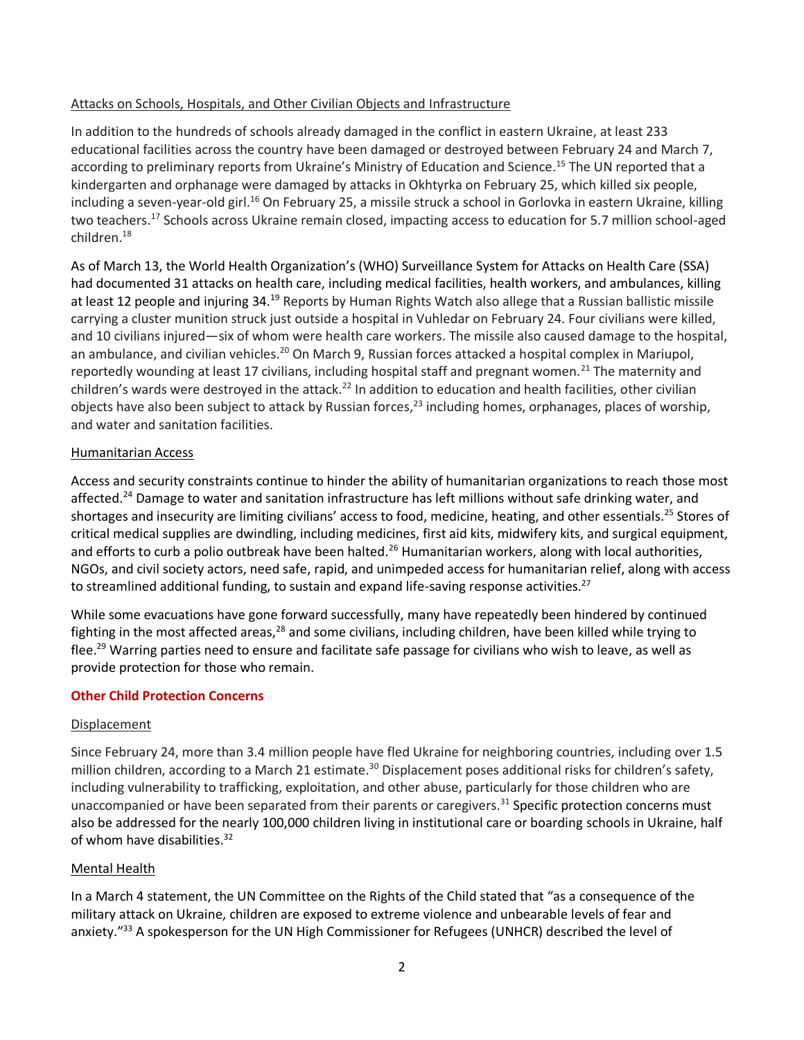### Attacks on Schools, Hospitals, and Other Civilian Objects and Infrastructure

In addition to the hundreds of schools already damaged in the conflict in eastern Ukraine, at least 233 educational facilities across the country have been damaged or destroyed between February 24 and March 7, according to preliminary reports from Ukraine's Ministry of Education and Science. <sup>15</sup> The UN reported that a kindergarten and orphanage were damaged by attacks in Okhtyrka on February 25, which killed six people, including a seven-year-old girl.<sup>16</sup> On February 25, a missile struck a school in Gorlovka in eastern Ukraine, killing two teachers.<sup>17</sup> Schools across Ukraine remain closed, impacting access to education for 5.7 million school-aged children.<sup>18</sup>

As of March 13, the World Health Organization's (WHO) Surveillance System for Attacks on Health Care (SSA) had documented 31 attacks on health care, including medical facilities, health workers, and ambulances, killing at least 12 people and injuring 34.<sup>19</sup> Reports by Human Rights Watch also allege that a Russian ballistic missile carrying a cluster munition struck just outside a hospital in Vuhledar on February 24. Four civilians were killed, and 10 civilians injured—six of whom were health care workers. The missile also caused damage to the hospital, an ambulance, and civilian vehicles.<sup>20</sup> On March 9, Russian forces attacked a hospital complex in Mariupol, reportedly wounding at least 17 civilians, including hospital staff and pregnant women.<sup>21</sup> The maternity and children's wards were destroyed in the attack.<sup>22</sup> In addition to education and health facilities, other civilian objects have also been subject to attack by Russian forces,<sup>23</sup> including homes, orphanages, places of worship, and water and sanitation facilities.

## Humanitarian Access

Access and security constraints continue to hinder the ability of humanitarian organizations to reach those most affected.<sup>24</sup> Damage to water and sanitation infrastructure has left millions without safe drinking water, and shortages and insecurity are limiting civilians' access to food, medicine, heating, and other essentials.<sup>25</sup> Stores of critical medical supplies are dwindling, including medicines, first aid kits, midwifery kits, and surgical equipment, and efforts to curb a polio outbreak have been halted.<sup>26</sup> Humanitarian workers, along with local authorities, NGOs, and civil society actors, need safe, rapid, and unimpeded access for humanitarian relief, along with access to streamlined additional funding, to sustain and expand life-saving response activities.<sup>27</sup>

While some evacuations have gone forward successfully, many have repeatedly been hindered by continued fighting in the most affected areas,<sup>28</sup> and some civilians, including children, have been killed while trying to flee.<sup>29</sup> Warring parties need to ensure and facilitate safe passage for civilians who wish to leave, as well as provide protection for those who remain.

# **Other Child Protection Concerns**

### Displacement

Since February 24, more than 3.4 million people have fled Ukraine for neighboring countries, including over 1.5 million children, according to a March 21 estimate.<sup>30</sup> Displacement poses additional risks for children's safety, including vulnerability to trafficking, exploitation, and other abuse, particularly for those children who are unaccompanied or have been separated from their parents or caregivers.<sup>31</sup> Specific protection concerns must also be addressed for the nearly 100,000 children living in institutional care or boarding schools in Ukraine, half of whom have disabilities.<sup>32</sup>

### Mental Health

In a March 4 statement, the UN Committee on the Rights of the Child stated that "as a consequence of the military attack on Ukraine, children are exposed to extreme violence and unbearable levels of fear and anxiety."<sup>33</sup> A spokesperson for the UN High Commissioner for Refugees (UNHCR) described the level of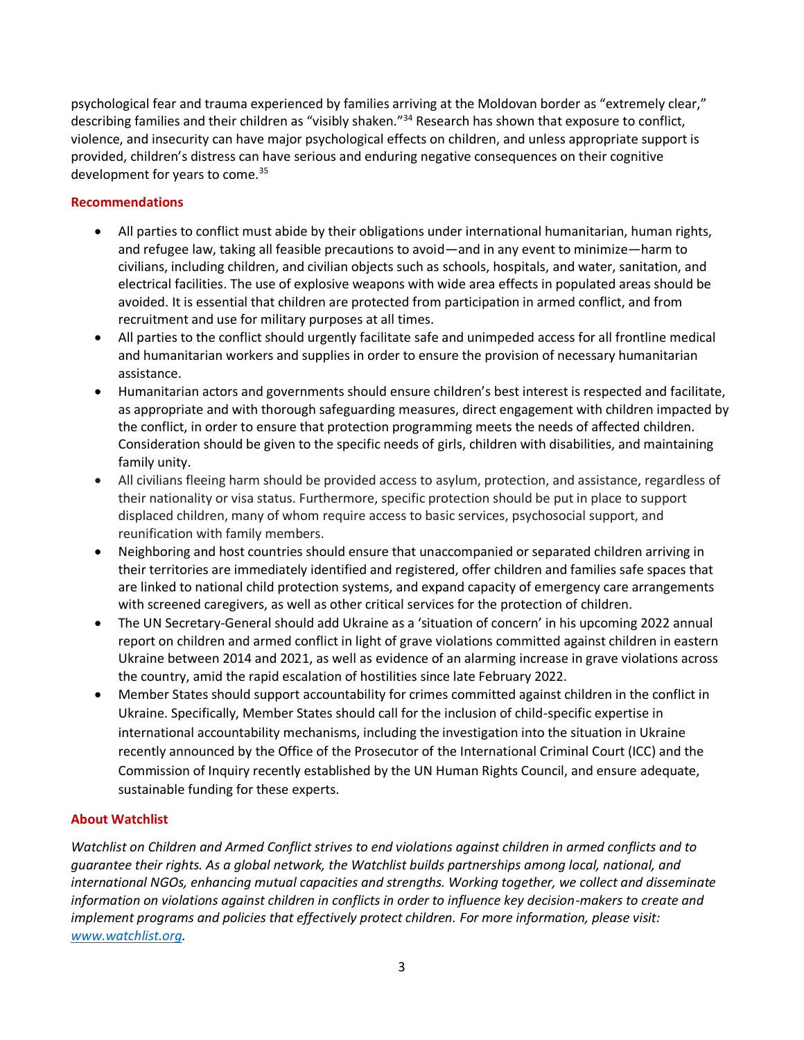psychological fear and trauma experienced by families arriving at the Moldovan border as "extremely clear," describing families and their children as "visibly shaken."<sup>34</sup> Research has shown that exposure to conflict, violence, and insecurity can have major psychological effects on children, and unless appropriate support is provided, children's distress can have serious and enduring negative consequences on their cognitive development for years to come.<sup>35</sup>

# **Recommendations**

- All parties to conflict must abide by their obligations under international humanitarian, human rights, and refugee law, taking all feasible precautions to avoid—and in any event to minimize—harm to civilians, including children, and civilian objects such as schools, hospitals, and water, sanitation, and electrical facilities. The use of explosive weapons with wide area effects in populated areas should be avoided. It is essential that children are protected from participation in armed conflict, and from recruitment and use for military purposes at all times.
- All parties to the conflict should urgently facilitate safe and unimpeded access for all frontline medical and humanitarian workers and supplies in order to ensure the provision of necessary humanitarian assistance.
- Humanitarian actors and governments should ensure children's best interest is respected and facilitate, as appropriate and with thorough safeguarding measures, direct engagement with children impacted by the conflict, in order to ensure that protection programming meets the needs of affected children. Consideration should be given to the specific needs of girls, children with disabilities, and maintaining family unity.
- All civilians fleeing harm should be provided access to asylum, protection, and assistance, regardless of their nationality or visa status. Furthermore, specific protection should be put in place to support displaced children, many of whom require access to basic services, psychosocial support, and reunification with family members.
- Neighboring and host countries should ensure that unaccompanied or separated children arriving in their territories are immediately identified and registered, offer children and families safe spaces that are linked to national child protection systems, and expand capacity of emergency care arrangements with screened caregivers, as well as other critical services for the protection of children.
- The UN Secretary-General should add Ukraine as a 'situation of concern' in his upcoming 2022 annual report on children and armed conflict in light of grave violations committed against children in eastern Ukraine between 2014 and 2021, as well as evidence of an alarming increase in grave violations across the country, amid the rapid escalation of hostilities since late February 2022.
- Member States should support accountability for crimes committed against children in the conflict in Ukraine. Specifically, Member States should call for the inclusion of child-specific expertise in international accountability mechanisms, including the investigation into the situation in Ukraine recently announced by the Office of the Prosecutor of the International Criminal Court (ICC) and the Commission of Inquiry recently established by the UN Human Rights Council, and ensure adequate, sustainable funding for these experts.

# **About Watchlist**

*Watchlist on Children and Armed Conflict strives to end violations against children in armed conflicts and to guarantee their rights. As a global network, the Watchlist builds partnerships among local, national, and international NGOs, enhancing mutual capacities and strengths. Working together, we collect and disseminate information on violations against children in conflicts in order to influence key decision-makers to create and implement programs and policies that effectively protect children. For more information, please visit: [www.watchlist.org.](http://www.watchlist.org/)*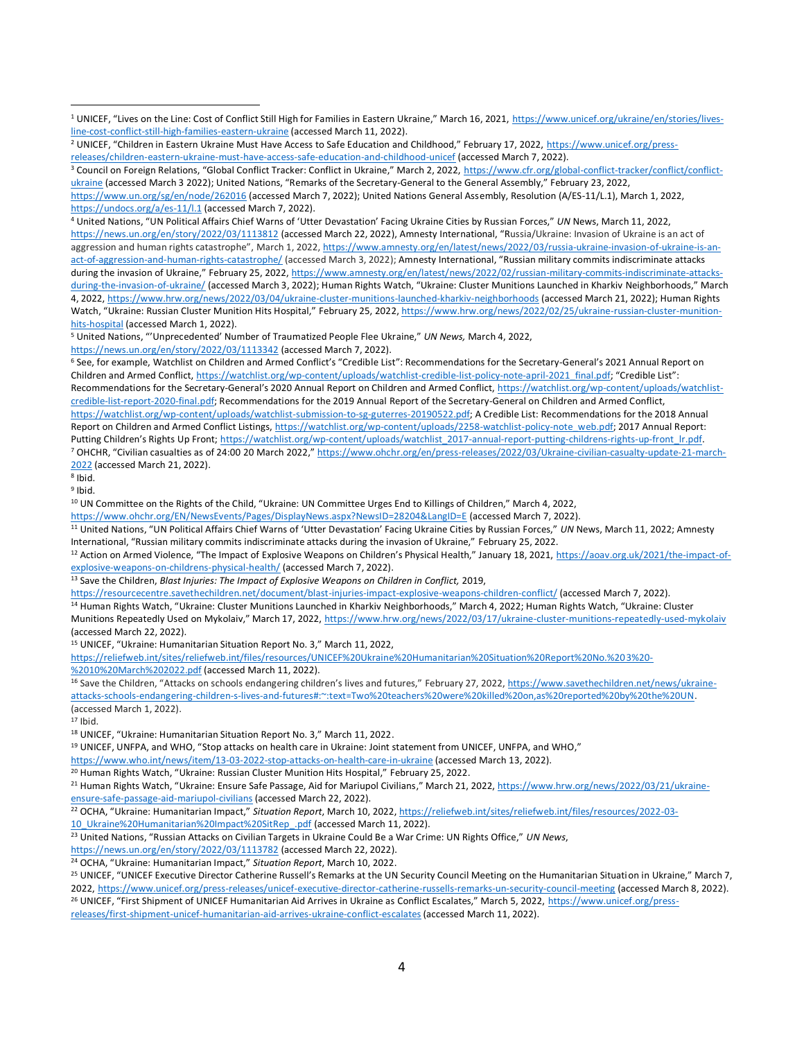<https://www.un.org/sg/en/node/262016> (accessed March 7, 2022); United Nations General Assembly, Resolution (A/ES-11/L.1), March 1, 2022, <https://undocs.org/a/es-11/l.1> (accessed March 7, 2022).

<sup>4</sup> United Nations, "UN Political Affairs Chief Warns of 'Utter Devastation' Facing Ukraine Cities by Russian Forces," *UN* News, March 11, 2022, <https://news.un.org/en/story/2022/03/1113812> (accessed March 22, 2022), Amnesty International, "Russia/Ukraine: Invasion of Ukraine is an act of aggression and human rights catastrophe", March 1, 2022, [https://www.amnesty.org/en/latest/news/2022/03/russia-ukraine-invasion-of-ukraine-is-an](https://www.amnesty.org/en/latest/news/2022/03/russia-ukraine-invasion-of-ukraine-is-an-act-of-aggression-and-human-rights-catastrophe/)[act-of-aggression-and-human-rights-catastrophe/](https://www.amnesty.org/en/latest/news/2022/03/russia-ukraine-invasion-of-ukraine-is-an-act-of-aggression-and-human-rights-catastrophe/) (accessed March 3, 2022); Amnesty International, "Russian military commits indiscriminate attacks during the invasion of Ukraine," February 25, 2022[, https://www.amnesty.org/en/latest/news/2022/02/russian-military-commits-indiscriminate-attacks](https://www.amnesty.org/en/latest/news/2022/02/russian-military-commits-indiscriminate-attacks-during-the-invasion-of-ukraine/)[during-the-invasion-of-ukraine/](https://www.amnesty.org/en/latest/news/2022/02/russian-military-commits-indiscriminate-attacks-during-the-invasion-of-ukraine/) (accessed March 3, 2022); Human Rights Watch, "Ukraine: Cluster Munitions Launched in Kharkiv Neighborhoods," March 4, 2022,<https://www.hrw.org/news/2022/03/04/ukraine-cluster-munitions-launched-kharkiv-neighborhoods> (accessed March 21, 2022); Human Rights Watch, "Ukraine: Russian Cluster Munition Hits Hospital," February 25, 2022, [https://www.hrw.org/news/2022/02/25/ukraine-russian-cluster-munition](https://www.hrw.org/news/2022/02/25/ukraine-russian-cluster-munition-hits-hospital)[hits-hospital](https://www.hrw.org/news/2022/02/25/ukraine-russian-cluster-munition-hits-hospital) (accessed March 1, 2022).

<sup>5</sup> United Nations, "'Unprecedented' Number of Traumatized People Flee Ukraine," *UN News,* March 4, 2022,

<https://news.un.org/en/story/2022/03/1113342> (accessed March 7, 2022).

<sup>6</sup> See, for example, Watchlist on Children and Armed Conflict's "Credible List": Recommendations for the Secretary-General's 2021 Annual Report on Children and Armed Conflict[, https://watchlist.org/wp-content/uploads/watchlist-credible-list-policy-note-april-2021\\_final.pdf](https://watchlist.org/wp-content/uploads/watchlist-credible-list-policy-note-april-2021_final.pdf); "Credible List": Recommendations for the Secretary-General's 2020 Annual Report on Children and Armed Conflict, [https://watchlist.org/wp-content/uploads/watchlist](https://watchlist.org/wp-content/uploads/watchlist-credible-list-report-2020-final.pdf)[credible-list-report-2020-final.pdf;](https://watchlist.org/wp-content/uploads/watchlist-credible-list-report-2020-final.pdf) Recommendations for the 2019 Annual Report of the Secretary-General on Children and Armed Conflict, [https://watchlist.org/wp-content/uploads/watchlist-submission-to-sg-guterres-20190522.pdf;](https://watchlist.org/wp-content/uploads/watchlist-submission-to-sg-guterres-20190522.pdf) A Credible List: Recommendations for the 2018 Annual Report on Children and Armed Conflict Listings[, https://watchlist.org/wp-content/uploads/2258-watchlist-policy-note\\_web.pdf;](https://watchlist.org/wp-content/uploads/2258-watchlist-policy-note_web.pdf) 2017 Annual Report: Putting Children's Rights Up Front; [https://watchlist.org/wp-content/uploads/watchlist\\_2017-annual-report-putting-childrens-rights-up-front\\_lr.pdf.](https://watchlist.org/wp-content/uploads/watchlist_2017-annual-report-putting-childrens-rights-up-front_lr.pdf) <sup>7</sup> OHCHR, "Civilian casualties as of 24:00 20 March 2022," [https://www.ohchr.org/en/press-releases/2022/03/Ukraine-civilian-casualty-update-21-march-](https://www.ohchr.org/en/press-releases/2022/03/Ukraine-civilian-casualty-update-21-march-2022)[2022](https://www.ohchr.org/en/press-releases/2022/03/Ukraine-civilian-casualty-update-21-march-2022) (accessed March 21, 2022).

8 Ibid.

<sup>9</sup> Ibid.

<sup>10</sup> UN Committee on the Rights of the Child, "Ukraine: UN Committee Urges End to Killings of Children," March 4, 2022,

<https://www.ohchr.org/EN/NewsEvents/Pages/DisplayNews.aspx?NewsID=28204&LangID=E> (accessed March 7, 2022).

<sup>11</sup> United Nations, "UN Political Affairs Chief Warns of 'Utter Devastation' Facing Ukraine Cities by Russian Forces," *UN* News, March 11, 2022; Amnesty International, "Russian military commits indiscriminate attacks during the invasion of Ukraine," February 25, 2022.

<sup>12</sup> Action on Armed Violence, "The Impact of Explosive Weapons on Children's Physical Health," January 18, 2021, [https://aoav.org.uk/2021/the-impact-of](https://aoav.org.uk/2021/the-impact-of-explosive-weapons-on-childrens-physical-health/)[explosive-weapons-on-childrens-physical-health/](https://aoav.org.uk/2021/the-impact-of-explosive-weapons-on-childrens-physical-health/) (accessed March 7, 2022).

<sup>13</sup> Save the Children, *Blast Injuries: The Impact of Explosive Weapons on Children in Conflict,* 2019,

<https://resourcecentre.savethechildren.net/document/blast-injuries-impact-explosive-weapons-children-conflict/> (accessed March 7, 2022).

14 Human Rights Watch, "Ukraine: Cluster Munitions Launched in Kharkiv Neighborhoods," March 4, 2022; Human Rights Watch, "Ukraine: Cluster Munitions Repeatedly Used on Mykolaiv," March 17, 2022, <https://www.hrw.org/news/2022/03/17/ukraine-cluster-munitions-repeatedly-used-mykolaiv> (accessed March 22, 2022).

<sup>15</sup> UNICEF, "Ukraine: Humanitarian Situation Report No. 3," March 11, 2022,

[https://reliefweb.int/sites/reliefweb.int/files/resources/UNICEF%20Ukraine%20Humanitarian%20Situation%20Report%20No.%203%20-](https://reliefweb.int/sites/reliefweb.int/files/resources/UNICEF%20Ukraine%20Humanitarian%20Situation%20Report%20No.%203%20-%2010%20March%202022.pdf) [%2010%20March%202022.pdf](https://reliefweb.int/sites/reliefweb.int/files/resources/UNICEF%20Ukraine%20Humanitarian%20Situation%20Report%20No.%203%20-%2010%20March%202022.pdf) (accessed March 11, 2022).

<sup>16</sup> Save the Children, "Attacks on schools endangering children's lives and futures," February 27, 2022[, https://www.savethechildren.net/news/ukraine](https://www.savethechildren.net/news/ukraine-attacks-schools-endangering-children-s-lives-and-futures#:~:text=Two%20teachers%20were%20killed%20on,as%20reported%20by%20the%20UN)[attacks-schools-endangering-children-s-lives-and-futures#:~:text=Two%20teachers%20were%20killed%20on,as%20reported%20by%20the%20UN.](https://www.savethechildren.net/news/ukraine-attacks-schools-endangering-children-s-lives-and-futures#:~:text=Two%20teachers%20were%20killed%20on,as%20reported%20by%20the%20UN)  (accessed March 1, 2022).

<sup>17</sup> Ibid.

<sup>18</sup> UNICEF, "Ukraine: Humanitarian Situation Report No. 3," March 11, 2022.

<sup>19</sup> UNICEF, UNFPA, and WHO, "Stop attacks on health care in Ukraine: Joint statement from UNICEF, UNFPA, and WHO,"

<https://www.who.int/news/item/13-03-2022-stop-attacks-on-health-care-in-ukraine> (accessed March 13, 2022).

<sup>20</sup> Human Rights Watch, "Ukraine: Russian Cluster Munition Hits Hospital," February 25, 2022.

<sup>21</sup> Human Rights Watch, "Ukraine: Ensure Safe Passage, Aid for Mariupol Civilians," March 21, 2022, [https://www.hrw.org/news/2022/03/21/ukraine](https://www.hrw.org/news/2022/03/21/ukraine-ensure-safe-passage-aid-mariupol-civilians)[ensure-safe-passage-aid-mariupol-civilians](https://www.hrw.org/news/2022/03/21/ukraine-ensure-safe-passage-aid-mariupol-civilians) (accessed March 22, 2022).

<sup>22</sup> OCHA, "Ukraine: Humanitarian Impact," *Situation Report*, March 10, 2022[, https://reliefweb.int/sites/reliefweb.int/files/resources/2022-03-](https://reliefweb.int/sites/reliefweb.int/files/resources/2022-03-10_Ukraine%20Humanitarian%20Impact%20SitRep_.pdf) 10 Ukraine%20Humanitarian%20Impact%20SitRep .pdf (accessed March 11, 2022).

<sup>23</sup> United Nations, "Russian Attacks on Civilian Targets in Ukraine Could Be a War Crime: UN Rights Office," *UN News*,

<https://news.un.org/en/story/2022/03/1113782> (accessed March 22, 2022).

<sup>24</sup> OCHA, "Ukraine: Humanitarian Impact," *Situation Report*, March 10, 2022.

<sup>25</sup> UNICEF, "UNICEF Executive Director Catherine Russell's Remarks at the UN Security Council Meeting on the Humanitarian Situation in Ukraine," March 7, 2022, <https://www.unicef.org/press-releases/unicef-executive-director-catherine-russells-remarks-un-security-council-meeting> (accessed March 8, 2022).

<sup>26</sup> UNICEF, "First Shipment of UNICEF Humanitarian Aid Arrives in Ukraine as Conflict Escalates," March 5, 2022, [https://www.unicef.org/press](https://www.unicef.org/press-releases/first-shipment-unicef-humanitarian-aid-arrives-ukraine-conflict-escalates)[releases/first-shipment-unicef-humanitarian-aid-arrives-ukraine-conflict-escalates](https://www.unicef.org/press-releases/first-shipment-unicef-humanitarian-aid-arrives-ukraine-conflict-escalates) (accessed March 11, 2022).

<sup>1</sup> UNICEF, "Lives on the Line: Cost of Conflict Still High for Families in Eastern Ukraine," March 16, 2021, [https://www.unicef.org/ukraine/en/stories/lives](https://www.unicef.org/ukraine/en/stories/lives-line-cost-conflict-still-high-families-eastern-ukraine)[line-cost-conflict-still-high-families-eastern-ukraine](https://www.unicef.org/ukraine/en/stories/lives-line-cost-conflict-still-high-families-eastern-ukraine) (accessed March 11, 2022).

<sup>&</sup>lt;sup>2</sup> UNICEF, "Children in Eastern Ukraine Must Have Access to Safe Education and Childhood," February 17, 2022, [https://www.unicef.org/press](https://www.unicef.org/press-releases/children-eastern-ukraine-must-have-access-safe-education-and-childhood-unicef)[releases/children-eastern-ukraine-must-have-access-safe-education-and-childhood-unicef](https://www.unicef.org/press-releases/children-eastern-ukraine-must-have-access-safe-education-and-childhood-unicef) (accessed March 7, 2022).

<sup>&</sup>lt;sup>3</sup> Council on Foreign Relations, "Global Conflict Tracker: Conflict in Ukraine," March 2, 2022, [https://www.cfr.org/global-conflict-tracker/conflict/conflict](https://www.cfr.org/global-conflict-tracker/conflict/conflict-ukraine)[ukraine](https://www.cfr.org/global-conflict-tracker/conflict/conflict-ukraine) (accessed March 3 2022); United Nations, "Remarks of the Secretary-General to the General Assembly," February 23, 2022,